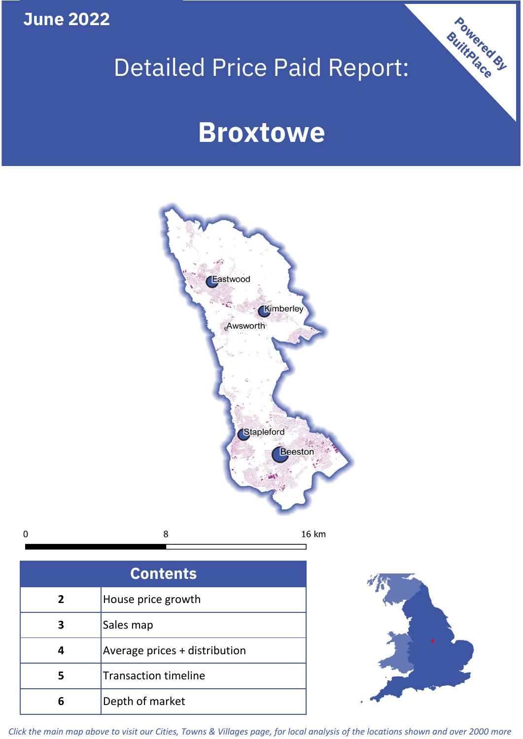**June 2022**

 $\mathbf 0$ 

# Detailed Price Paid Report:

# **Broxtowe**



| House price growth            |  |  |  |
|-------------------------------|--|--|--|
| Sales map                     |  |  |  |
| Average prices + distribution |  |  |  |
| <b>Transaction timeline</b>   |  |  |  |
| Depth of market               |  |  |  |



Powered By

*Click the main map above to visit our Cities, Towns & Villages page, for local analysis of the locations shown and over 2000 more*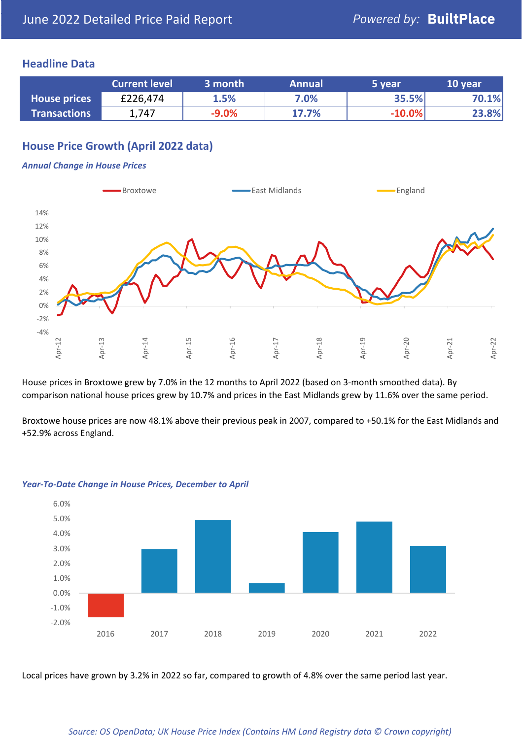# **Headline Data**

|                     | <b>Current level</b> | 3 month  | <b>Annual</b> | '5 year  | 10 year |
|---------------------|----------------------|----------|---------------|----------|---------|
| <b>House prices</b> | £226,474             | 1.5%     | 7.0%          | 35.5%    | 70.1%   |
| <b>Transactions</b> | 1,747                | $-9.0\%$ | 17.7%         | $-10.0%$ | 23.8%   |

# **House Price Growth (April 2022 data)**

#### *Annual Change in House Prices*



House prices in Broxtowe grew by 7.0% in the 12 months to April 2022 (based on 3-month smoothed data). By comparison national house prices grew by 10.7% and prices in the East Midlands grew by 11.6% over the same period.

Broxtowe house prices are now 48.1% above their previous peak in 2007, compared to +50.1% for the East Midlands and +52.9% across England.



#### *Year-To-Date Change in House Prices, December to April*

Local prices have grown by 3.2% in 2022 so far, compared to growth of 4.8% over the same period last year.

#### *Source: OS OpenData; UK House Price Index (Contains HM Land Registry data © Crown copyright)*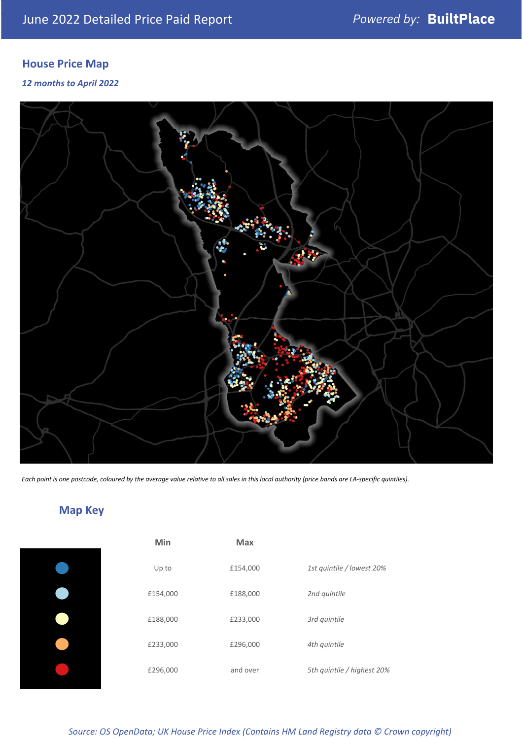# **House Price Map**

*12 months to April 2022*



*Each point is one postcode, coloured by the average value relative to all sales in this local authority (price bands are LA-specific quintiles).*

# **Map Key**

| Min      | <b>Max</b> |                            |
|----------|------------|----------------------------|
| Up to    | £154,000   | 1st quintile / lowest 20%  |
| £154,000 | £188,000   | 2nd quintile               |
| £188,000 | £233,000   | 3rd quintile               |
| £233,000 | £296,000   | 4th quintile               |
| £296,000 | and over   | 5th quintile / highest 20% |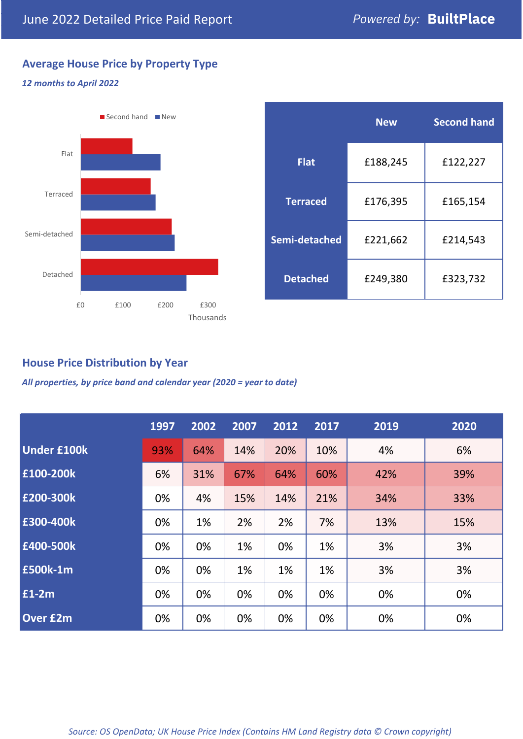# **Average House Price by Property Type**

### *12 months to April 2022*



|                 | <b>New</b> | <b>Second hand</b> |  |  |
|-----------------|------------|--------------------|--|--|
| <b>Flat</b>     | £188,245   | £122,227           |  |  |
| <b>Terraced</b> | £176,395   | £165,154           |  |  |
| Semi-detached   | £221,662   | £214,543           |  |  |
| <b>Detached</b> | £249,380   | £323,732           |  |  |

**House Price Distribution by Year**

*All properties, by price band and calendar year (2020 = year to date)*

|                    | 1997 | 2002 | 2007 | 2012 | 2017 | 2019 | 2020 |
|--------------------|------|------|------|------|------|------|------|
| <b>Under £100k</b> | 93%  | 64%  | 14%  | 20%  | 10%  | 4%   | 6%   |
| £100-200k          | 6%   | 31%  | 67%  | 64%  | 60%  | 42%  | 39%  |
| £200-300k          | 0%   | 4%   | 15%  | 14%  | 21%  | 34%  | 33%  |
| £300-400k          | 0%   | 1%   | 2%   | 2%   | 7%   | 13%  | 15%  |
| £400-500k          | 0%   | 0%   | 1%   | 0%   | 1%   | 3%   | 3%   |
| <b>£500k-1m</b>    | 0%   | 0%   | 1%   | 1%   | 1%   | 3%   | 3%   |
| £1-2m              | 0%   | 0%   | 0%   | 0%   | 0%   | 0%   | 0%   |
| <b>Over £2m</b>    | 0%   | 0%   | 0%   | 0%   | 0%   | 0%   | 0%   |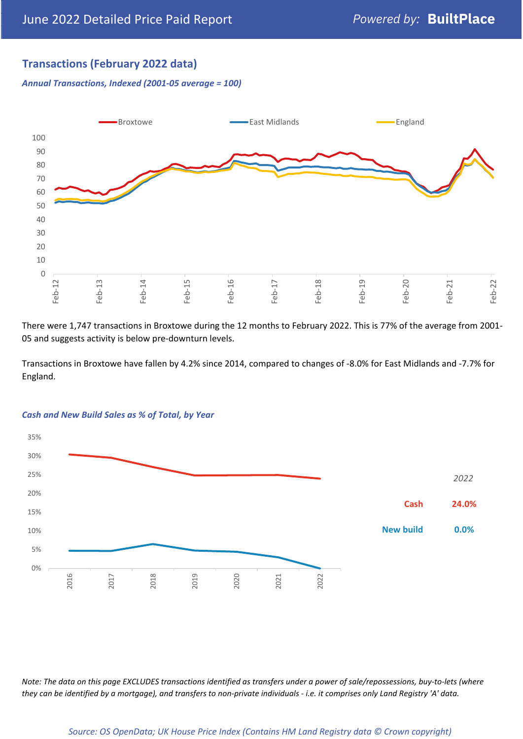# **Transactions (February 2022 data)**

*Annual Transactions, Indexed (2001-05 average = 100)*



There were 1,747 transactions in Broxtowe during the 12 months to February 2022. This is 77% of the average from 2001- 05 and suggests activity is below pre-downturn levels.

Transactions in Broxtowe have fallen by 4.2% since 2014, compared to changes of -8.0% for East Midlands and -7.7% for England.



#### *Cash and New Build Sales as % of Total, by Year*

*Note: The data on this page EXCLUDES transactions identified as transfers under a power of sale/repossessions, buy-to-lets (where they can be identified by a mortgage), and transfers to non-private individuals - i.e. it comprises only Land Registry 'A' data.*